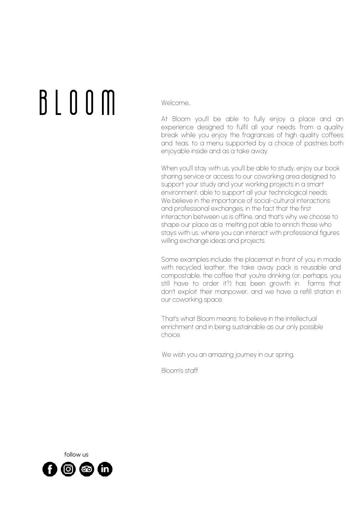# B L O O M

Welcome...

At Bloom you'll be able to fully enjoy a place and an experience designed to fulfil all your needs, from a quality break while you enjoy the fragrances of high quality coffees and teas, to a menu supported by a choice of pastries both enjoyable inside and as a take away.

When you'll stay with us, you'll be able to study, enjoy our book sharing service or access to our coworking area designed to support your study and your working projects in a smart environment, able to support all your technological needs. We believe in the importance of social-cultural interactions and professional exchanges, in the fact that the first interaction between us is offline, and that's why we choose to shape our place as a melting pot able to enrich those who stays with us, where you can interact with professional figures willing exchange ideas and projects.

Some examples include: the placemat in front of you in made with recycled leather, the take away pack is reusable and compostable, the coffee that you're drinking (or, perhaps, you still have to order it?) has been growth in farms that don't exploit their manpower, and we have a refill station in our coworking space.

That's what Bloom means: to believe in the intellectual enrichment and in being sustainable as our only possible choice.

We wish you an amazing journey in our spring,

Bloom's staff

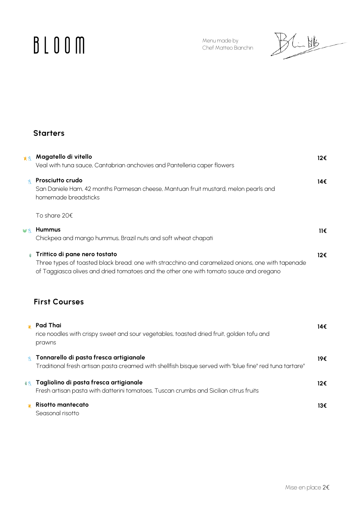# **BLOOM**

Menu made by Chef Matteo Bianchin

 $\frac{1}{2}$ 

# **Starters**

| 开新                | Magatello di vitello<br>Veal with tuna sauce, Cantabrian anchovies and Pantelleria caper flowers                                                                                                                             | 12€ |
|-------------------|------------------------------------------------------------------------------------------------------------------------------------------------------------------------------------------------------------------------------|-----|
| Ř                 | Prosciutto crudo<br>San Daniele Ham, 42 months Parmesan cheese, Mantuan fruit mustard, melon pearls and<br>homemade breadsticks                                                                                              | 14€ |
|                   | To share 20€                                                                                                                                                                                                                 |     |
| <b>B</b>          | Hummus<br>Chickpea and mango hummus, Brazil nuts and soft wheat chapati                                                                                                                                                      | 116 |
| $\bigoplus$       | Trittico di pane nero tostato<br>Three types of toasted black bread: one with stracchino and caramelized onions, one with tapenade<br>of Taggiasca olives and dried tomatoes and the other one with tomato sauce and oregano | 12€ |
|                   | <b>First Courses</b>                                                                                                                                                                                                         |     |
| 潘                 | <b>Pad Thai</b><br>rice noodles with crispy sweet and sour vegetables, toasted dried fruit, golden tofu and<br>prawns                                                                                                        | 14€ |
| $\mathbb{R}$      | Tonnarello di pasta fresca artigianale<br>Traditional fresh artisan pasta creamed with shellfish bisque served with "blue fine" red tuna tartare"                                                                            | 19€ |
| $\textcircled{f}$ | Tagliolino di pasta fresca artigianale<br>Fresh artisan pasta with datterini tomatoes, Tuscan crumbs and Sicilian citrus fruits                                                                                              | 12€ |
|                   | <b>Risotto mantecato</b><br>Seasonal risotto                                                                                                                                                                                 | 13€ |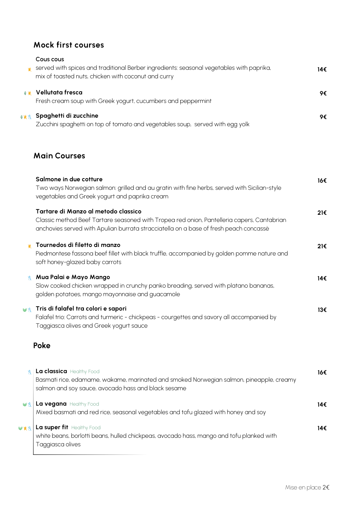# **Mock first courses**

| 谶     | Cous cous<br>served with spices and traditional Berber ingredients: seasonal vegetables with paprika,<br>mix of toasted nuts, chicken with coconut and curry                                                               | 14€ |
|-------|----------------------------------------------------------------------------------------------------------------------------------------------------------------------------------------------------------------------------|-----|
| 4 读   | Vellutata fresca<br>Fresh cream soup with Greek yogurt, cucumbers and peppermint                                                                                                                                           | 9€  |
| 4 黄 内 | Spaghetti di zucchine<br>Zucchini spaghetti on top of tomato and vegetables soup, served with egg yolk                                                                                                                     | 9€  |
|       | <b>Main Courses</b>                                                                                                                                                                                                        |     |
|       | Salmone in due cotture<br>Two ways Norwegian salmon: grilled and au gratin with fine herbs, served with Sicilian-style<br>vegetables and Greek yogurt and paprika cream                                                    | 16€ |
|       | Tartare di Manzo al metodo classico<br>Classic method Beef Tartare seasoned with Tropea red onion, Pantelleria capers, Cantabrian<br>anchovies served with Apulian burrata stracciatella on a base of fresh peach concassè | 21€ |
| 蛩     | Tournedos di filetto di manzo<br>Piedmontese fassona beef fillet with black truffle, accompanied by golden pomme nature and<br>soft honey-glazed baby carrots                                                              | 21€ |
| Å.    | Mua Palai e Mayo Mango<br>Slow cooked chicken wrapped in crunchy panko breading, served with platano bananas,<br>golden potatoes, mango mayonnaise and guacamole                                                           | 14€ |
| VA    | Tris di falafel tra colori e sapori<br>Falafel trio: Carrots and turmeric - chickpeas - courgettes and savory all accompanied by<br>Taggiasca olives and Greek yogurt sauce                                                | 13€ |
|       | Poke                                                                                                                                                                                                                       |     |
|       | La classica Healthy Food<br>Basmati rice, edamame, wakame, marinated and smoked Norwegian salmon, pineapple, creamy<br>salmon and soy sauce, avocado hass and black sesame                                                 | 16€ |

| <b>La vegana</b> Healthy Food<br>Mixed basmati and red rice, seasonal vegetables and tofu glazed with honey and soy                               | 14€ |
|---------------------------------------------------------------------------------------------------------------------------------------------------|-----|
| WXX   La super fit Healthy Food<br>white beans, borlotti beans, hulled chickpeas, avocado hass, mango and tofu planked with<br>' Taggiasca olives | 14€ |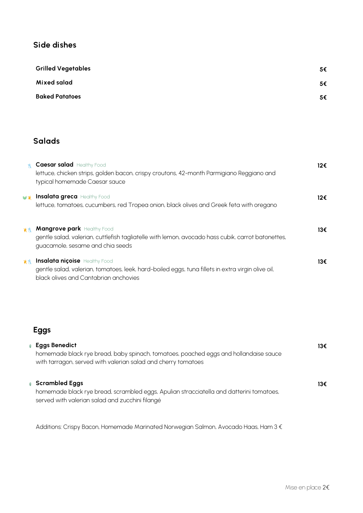## **Side dishes**

| <b>Grilled Vegetables</b> | 5€ |
|---------------------------|----|
| Mixed salad               | 5€ |
| <b>Baked Patatoes</b>     | 5€ |

# **Salads**

|               | <b>Caesar salad</b> Healthy Food<br>lettuce, chicken strips, golden bacon, crispy croutons, 42-month Parmigiano Reggiano and<br>typical homemade Caesar sauce              | 12€ |
|---------------|----------------------------------------------------------------------------------------------------------------------------------------------------------------------------|-----|
| $\mathscr{A}$ | <b>Insalata greca</b> Healthy Food<br>lettuce, tomatoes, cucumbers, red Tropea onion, black olives and Greek feta with oregano                                             | 12€ |
| 黄图            | <b>Mangrove park Healthy Food</b><br>gentle salad, valerian, cuttlefish tagliatelle with lemon, avocado hass cubik, carrot batonettes,<br>guacamole, sesame and chia seeds | 13€ |
| ■             | <b>Insalata niçoise</b> Healthy Food<br>gentle salad, valerian, tomatoes, leek, hard-boiled eggs, tuna fillets in extra virgin olive oil,                                  | 13€ |

#### black olives and Cantabrian anchovies

# **Eggs**

| $\bigoplus$ | <b>Eggs Benedict</b><br>homemade black rye bread, baby spinach, tomatoes, poached eggs and hollandaise sauce<br>with tarragon, served with valerian salad and cherry tomatoes | 13€ |
|-------------|-------------------------------------------------------------------------------------------------------------------------------------------------------------------------------|-----|
|             | <b>Scrambled Eggs</b><br>homemade black rye bread, scrambled eggs, Apulian stracciatella and datterini tomatoes,<br>served with valerian salad and zucchini filangé           | 13€ |

Additions: Crispy Bacon, Homemade Marinated Norwegian Salmon, Avocado Haas, Ham 3 €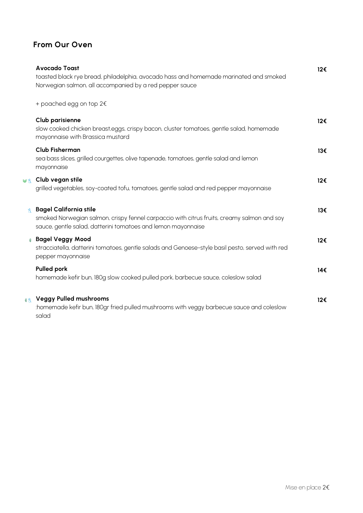# **From Our Oven**

|                            | <b>Avocado Toast</b><br>toasted black rye bread, philadelphia, avocado hass and homemade marinated and smoked<br>Norwegian salmon, all accompanied by a red pepper sauce                    | 12€ |
|----------------------------|---------------------------------------------------------------------------------------------------------------------------------------------------------------------------------------------|-----|
|                            | + poached egg on top 2€                                                                                                                                                                     |     |
|                            | <b>Club parisienne</b><br>slow cooked chicken breast,eggs, crispy bacon, cluster tomatoes, gentle salad, homemade<br>mayonnaise with Brassica mustard                                       | 12€ |
|                            | <b>Club Fisherman</b><br>sea bass slices, grilled courgettes, olive tapenade, tomatoes, gentle salad and lemon<br>mayonnaise                                                                | 13€ |
| <b>B</b>                   | Club vegan stile<br>grilled vegetables, soy-coated tofu, tomatoes, gentle salad and red pepper mayonnaise                                                                                   | 12€ |
| $\mathbb{R}$               | <b>Bagel California stile</b><br>smoked Norwegian salmon, crispy fennel carpaccio with citrus fruits, creamy salmon and soy<br>sauce, gentle salad, datterini tomatoes and lemon mayonnaise | 13€ |
| $\bigoplus$                | <b>Bagel Veggy Mood</b><br>stracciatella, datterini tomatoes, gentle salads and Genoese-style basil pesto, served with red<br>pepper mayonnaise                                             | 12€ |
|                            | <b>Pulled pork</b><br>homemade kefir bun, 180g slow cooked pulled pork, barbecue sauce, coleslow salad                                                                                      | 14€ |
| $\textcircled{\textsf{A}}$ | <b>Veggy Pulled mushrooms</b><br>homemade kefir bun, 180gr fried pulled mushrooms with veggy barbecue sauce and coleslow:<br>salad                                                          | 12€ |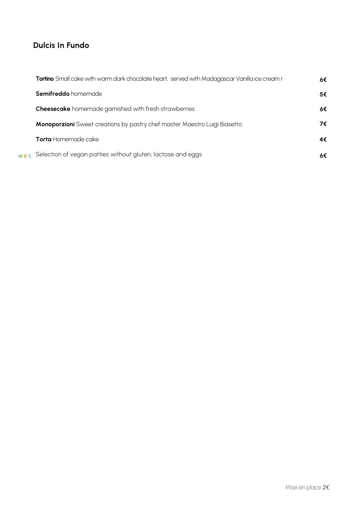# **Dulcis In Fundo**

|            | Tortino Small cake with warm dark chocolate heart, served with Madagascar Vanilla ice cream r | 6€ |
|------------|-----------------------------------------------------------------------------------------------|----|
|            | Semifreddo homemade                                                                           | 5€ |
|            | <b>Cheesecake</b> homemade garnished with fresh strawberries                                  | 6€ |
|            | Monoporzioni Sweet creations by pastry chef master Maestro Luigi Biasetto                     | 7€ |
|            | <b>Torta</b> Homemade cake                                                                    | 4€ |
| <b>MAK</b> | Selection of vegan patties without gluten, lactose and eggs                                   |    |